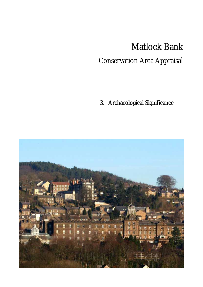## Matlock Bank

i<br>S

## Conservation Area Appraisal

Conservation Archaeological Significance 3. Archaeological Significance